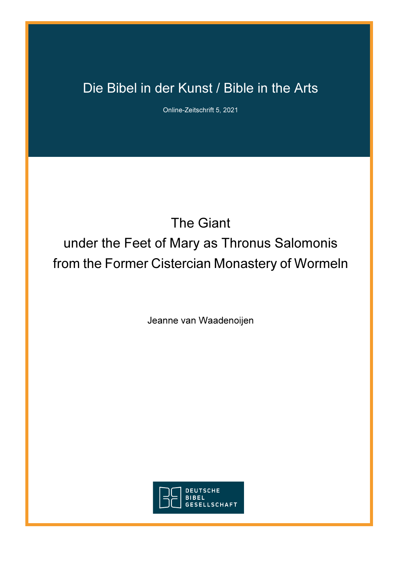## Die Bibel in der Kunst / Bible in the Arts

Online-Zeitschrift 5, 2021

# The Giant under the Feet of Mary as Thronus Salomonis from the Former Cistercian Monastery of Wormeln

Jeanne van Waadenoijen

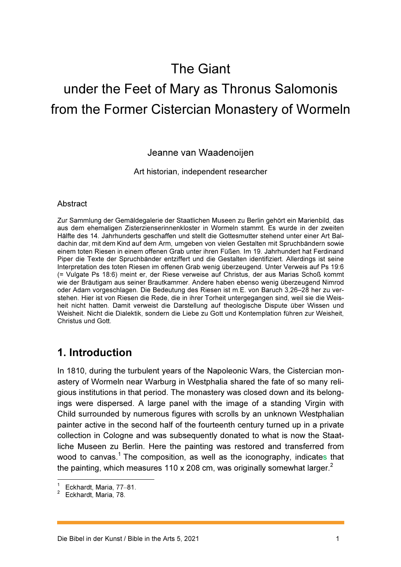## The Giant

# under the Feet of Mary as Thronus Salomonis from the Former Cistercian Monastery of Wormeln

Jeanne van Waadenoijen

Art historian, independent researcher

#### **Abstract**

Zur Sammlung der Gemäldegalerie der Staatlichen Museen zu Berlin gehört ein Marienbild, das aus dem ehemaligen Zisterzienserinnenkloster in Wormeln stammt. Es wurde in der zweiten Hälfte des 14. Jahrhunderts geschaffen und stellt die Gottesmutter stehend unter einer Art Baldachin dar, mit dem Kind auf dem Arm, umgeben von vielen Gestalten mit Spruchbändern sowie einem toten Riesen in einem offenen Grab unter ihren Füßen. Im 19. Jahrhundert hat Ferdinand Piper die Texte der Spruchbänder entziffert und die Gestalten identifiziert. Allerdings ist seine Interpretation des toten Riesen im offenen Grab wenig überzeugend. Unter Verweis auf Ps 19:6 (= Vulgate Ps 18:6) meint er, der Riese verweise auf Christus, der aus Marias Schoß kommt wie der Bräutigam aus seiner Brautkammer. Andere haben ebenso wenig überzeugend Nimrod oder Adam vorgeschlagen. Die Bedeutung des Riesen ist m.E. von Baruch 3,26–28 her zu verstehen. Hier ist von Riesen die Rede, die in ihrer Torheit untergegangen sind, weil sie die Weisheit nicht hatten. Damit verweist die Darstellung auf theologische Dispute über Wissen und Weisheit. Nicht die Dialektik, sondern die Liebe zu Gott und Kontemplation führen zur Weisheit, Christus und Gott.

## 1. Introduction

In 1810, during the turbulent years of the Napoleonic Wars, the Cistercian monastery of Wormeln near Warburg in Westphalia shared the fate of so many religious institutions in that period. The monastery was closed down and its belongings were dispersed. A large panel with the image of a standing Virgin with Child surrounded by numerous figures with scrolls by an unknown Westphalian painter active in the second half of the fourteenth century turned up in a private collection in Cologne and was subsequently donated to what is now the Staatliche Museen zu Berlin. Here the painting was restored and transferred from wood to canvas. $^{\rm 1}$  The composition, as well as the iconography, indicates that the painting, which measures 110 x 208 cm, was originally somewhat larger.<sup>2</sup>

 $\overline{\phantom{a}}$ 

<sup>1</sup> Eckhardt, Maria, 77–81.

 $\mathfrak{p}$ Eckhardt, Maria, 78.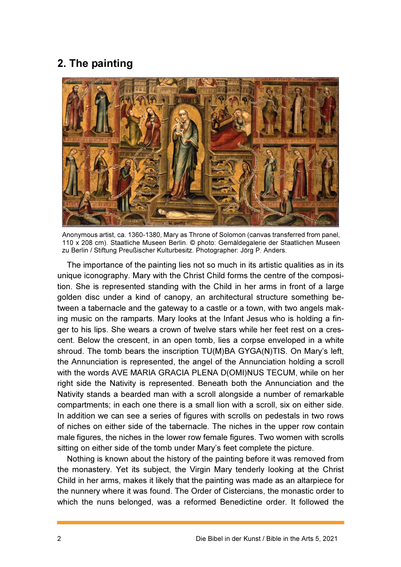## 2. The painting



Anonymous artist, ca. 1360-1380, Mary as Throne of Solomon (canvas transferred from panel, 110 x 208 cm). Staatliche Museen Berlin. © photo: Gemäldegalerie der Staatlichen Museen zu Berlin / Stiftung Preußischer Kulturbesitz. Photographer: Jörg P. Anders.

The importance of the painting lies not so much in its artistic qualities as in its unique iconography. Mary with the Christ Child forms the centre of the composition. She is represented standing with the Child in her arms in front of a large golden disc under a kind of canopy, an architectural structure something between a tabernacle and the gateway to a castle or a town, with two angels making music on the ramparts. Mary looks at the Infant Jesus who is holding a finger to his lips. She wears a crown of twelve stars while her feet rest on a crescent. Below the crescent, in an open tomb, lies a corpse enveloped in a white shroud. The tomb bears the inscription TU(M)BA GYGA(N)TIS. On Mary's left, the Annunciation is represented, the angel of the Annunciation holding a scroll with the words AVE MARIA GRACIA PLENA D(OMI)NUS TECUM, while on her right side the Nativity is represented. Beneath both the Annunciation and the Nativity stands a bearded man with a scroll alongside a number of remarkable compartments; in each one there is a small lion with a scroll, six on either side. In addition we can see a series of figures with scrolls on pedestals in two rows of niches on either side of the tabernacle. The niches in the upper row contain male figures, the niches in the lower row female figures. Two women with scrolls sitting on either side of the tomb under Mary's feet complete the picture.

Nothing is known about the history of the painting before it was removed from the monastery. Yet its subject, the Virgin Mary tenderly looking at the Christ Child in her arms, makes it likely that the painting was made as an altarpiece for the nunnery where it was found. The Order of Cistercians, the monastic order to which the nuns belonged, was a reformed Benedictine order. It followed the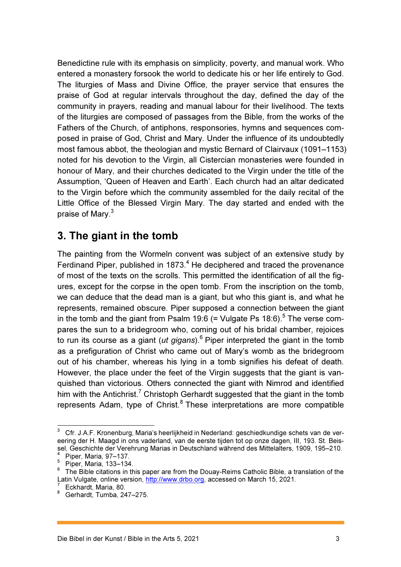Benedictine rule with its emphasis on simplicity, poverty, and manual work. Who entered a monastery forsook the world to dedicate his or her life entirely to God. The liturgies of Mass and Divine Office, the prayer service that ensures the praise of God at regular intervals throughout the day, defined the day of the community in prayers, reading and manual labour for their livelihood. The texts of the liturgies are composed of passages from the Bible, from the works of the Fathers of the Church, of antiphons, responsories, hymns and sequences composed in praise of God, Christ and Mary. Under the influence of its undoubtedly most famous abbot, the theologian and mystic Bernard of Clairvaux (1091–1153) noted for his devotion to the Virgin, all Cistercian monasteries were founded in honour of Mary, and their churches dedicated to the Virgin under the title of the Assumption, 'Queen of Heaven and Earth'. Each church had an altar dedicated to the Virgin before which the community assembled for the daily recital of the Little Office of the Blessed Virgin Mary. The day started and ended with the praise of Mary.<sup>3</sup>

## 3. The giant in the tomb

The painting from the Wormeln convent was subject of an extensive study by Ferdinand Piper, published in 1873.<sup>4</sup> He deciphered and traced the provenance of most of the texts on the scrolls. This permitted the identification of all the figures, except for the corpse in the open tomb. From the inscription on the tomb, we can deduce that the dead man is a giant, but who this giant is, and what he represents, remained obscure. Piper supposed a connection between the giant in the tomb and the giant from Psalm 19:6 (= Vulgate Ps 18:6).<sup>5</sup> The verse compares the sun to a bridegroom who, coming out of his bridal chamber, rejoices to run its course as a giant (*ut gigans*).<sup>6</sup> Piper interpreted the giant in the tomb as a prefiguration of Christ who came out of Mary's womb as the bridegroom out of his chamber, whereas his lying in a tomb signifies his defeat of death. However, the place under the feet of the Virgin suggests that the giant is vanquished than victorious. Others connected the giant with Nimrod and identified him with the Antichrist.<sup>7</sup> Christoph Gerhardt suggested that the giant in the tomb represents Adam, type of Christ.<sup>8</sup> These interpretations are more compatible

 3 Cfr. J.A.F. Kronenburg, Maria's heerlijkheid in Nederland: geschiedkundige schets van de vereering der H. Maagd in ons vaderland, van de eerste tijden tot op onze dagen, III, 193. St. Beissel, Geschichte der Verehrung Marias in Deutschland während des Mittelalters, 1909, 195–210.

<sup>4</sup> Piper, Maria, 97–137.

 $<sup>5</sup>$  Piper, Maria, 133–134.</sup>

<sup>&</sup>lt;sup>6</sup> The Bible citations in this paper are from the Douay-Reims Catholic Bible, a translation of the Latin Vulgate, online version, <u>http://www.drbo.org</u>, accessed on March 15, 2021.<br><sup>7</sup> Eakhardt, Maria, 29

Eckhardt, Maria, 80.

<sup>8</sup> Gerhardt, Tumba, 247–275.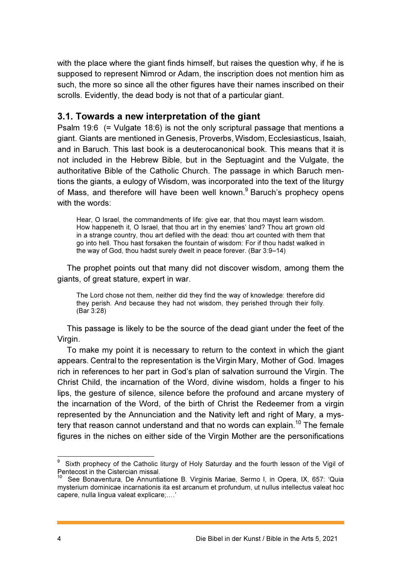with the place where the giant finds himself, but raises the question why, if he is supposed to represent Nimrod or Adam, the inscription does not mention him as such, the more so since all the other figures have their names inscribed on their scrolls. Evidently, the dead body is not that of a particular giant.

#### 3.1. Towards a new interpretation of the giant

Psalm 19:6 (= Vulgate 18:6) is not the only scriptural passage that mentions a giant. Giants are mentioned in Genesis, Proverbs, Wisdom, Ecclesiasticus, Isaiah, and in Baruch. This last book is a deuterocanonical book. This means that it is not included in the Hebrew Bible, but in the Septuagint and the Vulgate, the authoritative Bible of the Catholic Church. The passage in which Baruch mentions the giants, a eulogy of Wisdom, was incorporated into the text of the liturgy of Mass, and therefore will have been well known.<sup>9</sup> Baruch's prophecy opens with the words:

Hear, O Israel, the commandments of life: give ear, that thou mayst learn wisdom. How happeneth it, O Israel, that thou art in thy enemies' land? Thou art grown old in a strange country, thou art defiled with the dead: thou art counted with them that go into hell. Thou hast forsaken the fountain of wisdom: For if thou hadst walked in the way of God, thou hadst surely dwelt in peace forever. (Bar 3:9–14)

The prophet points out that many did not discover wisdom, among them the giants, of great stature, expert in war.

The Lord chose not them, neither did they find the way of knowledge: therefore did they perish. And because they had not wisdom, they perished through their folly. (Bar 3:28)

This passage is likely to be the source of the dead giant under the feet of the Virgin.

To make my point it is necessary to return to the context in which the giant appears. Central to the representation is the Virgin Mary, Mother of God. Images rich in references to her part in God's plan of salvation surround the Virgin. The Christ Child, the incarnation of the Word, divine wisdom, holds a finger to his lips, the gesture of silence, silence before the profound and arcane mystery of the incarnation of the Word, of the birth of Christ the Redeemer from a virgin represented by the Annunciation and the Nativity left and right of Mary, a mystery that reason cannot understand and that no words can explain.<sup>10</sup> The female figures in the niches on either side of the Virgin Mother are the personifications

erd and the matter of the Catholic liturgy of Holy Saturday and the fourth lesson of the Vigil of the Vigil of Pentecost in the Cistercian missal.

<sup>&</sup>lt;sup>10</sup> See Bonaventura, De Annuntiatione B. Virginis Mariae, Sermo I, in Opera, IX, 657: 'Quia mysterium dominicae incarnationis ita est arcanum et profundum, ut nullus intellectus valeat hoc capere, nulla lingua valeat explicare;….'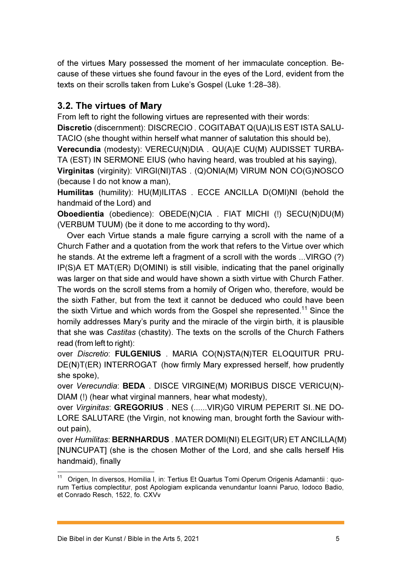of the virtues Mary possessed the moment of her immaculate conception. Because of these virtues she found favour in the eyes of the Lord, evident from the texts on their scrolls taken from Luke's Gospel (Luke 1:28–38).

### 3.2. The virtues of Mary

From left to right the following virtues are represented with their words:

Discretio (discernment): DISCRECIO . COGITABAT Q(UA)LIS EST ISTA SALU-TACIO (she thought within herself what manner of salutation this should be),

Verecundia (modesty): VERECU(N)DIA . QU(A)E CU(M) AUDISSET TURBA-TA (EST) IN SERMONE EIUS (who having heard, was troubled at his saying),

Virginitas (virginity): VIRGI(NI)TAS . (Q)ONIA(M) VIRUM NON CO(G)NOSCO (because I do not know a man),

Humilitas (humility): HU(M)ILITAS . ECCE ANCILLA D(OMI)NI (behold the handmaid of the Lord) and

Oboedientia (obedience): OBEDE(N)CIA . FIAT MICHI (!) SECU(N)DU(M) (VERBUM TUUM) (be it done to me according to thy word).

Over each Virtue stands a male figure carrying a scroll with the name of a Church Father and a quotation from the work that refers to the Virtue over which he stands. At the extreme left a fragment of a scroll with the words ...VIRGO (?) IP(S)A ET MAT(ER) D(OMINI) is still visible, indicating that the panel originally was larger on that side and would have shown a sixth virtue with Church Father. The words on the scroll stems from a homily of Origen who, therefore, would be the sixth Father, but from the text it cannot be deduced who could have been the sixth Virtue and which words from the Gospel she represented.<sup>11</sup> Since the homily addresses Mary's purity and the miracle of the virgin birth, it is plausible that she was Castitas (chastity). The texts on the scrolls of the Church Fathers read (from left to right):

over Discretio: FULGENIUS . MARIA CO(N)STA(N)TER ELOQUITUR PRU-DE(N)T(ER) INTERROGAT (how firmly Mary expressed herself, how prudently she spoke),

over Verecundia: BEDA . DISCE VIRGINE(M) MORIBUS DISCE VERICU(N)- DIAM (!) (hear what virginal manners, hear what modesty),

over Virginitas: GREGORIUS . NES (......VIR)G0 VIRUM PEPERIT SI..NE DO-LORE SALUTARE (the Virgin, not knowing man, brought forth the Saviour without pain),

over Humilitas: BERNHARDUS . MATER DOMI(NI) ELEGIT(UR) ET ANCILLA(M) [NUNCUPAT] (she is the chosen Mother of the Lord, and she calls herself His handmaid), finally

 $\overline{\phantom{a}}$ <sup>11</sup> Origen, In diversos, Homilia I, in: Tertius Et Quartus Tomi Operum Origenis Adamantii : quorum Tertius complectitur, post Apologiam explicanda venundantur Ioanni Paruo, Iodoco Badio, et Conrado Resch, 1522, fo. CXVv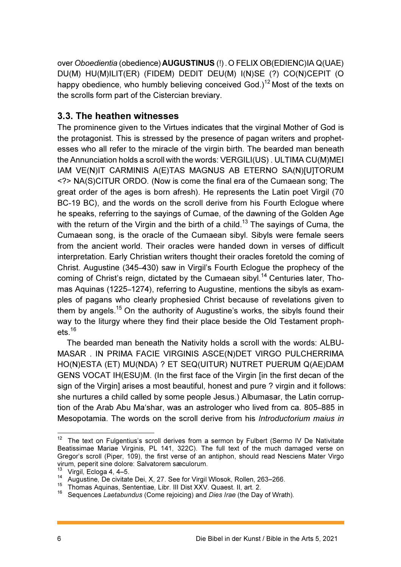over Oboedientia (obedience) AUGUSTINUS (!). O FELIX OB(EDIENC)IA Q(UAE) DU(M) HU(M)ILIT(ER) (FIDEM) DEDIT DEU(M) I(N)SE (?) CO(N)CEPIT (O happy obedience, who humbly believing conceived God.)<sup>12</sup> Most of the texts on the scrolls form part of the Cistercian breviary.

#### 3.3. The heathen witnesses

The prominence given to the Virtues indicates that the virginal Mother of God is the protagonist. This is stressed by the presence of pagan writers and prophetesses who all refer to the miracle of the virgin birth. The bearded man beneath the Annunciation holds a scroll with the words: VERGILI(US) . ULTIMA CU(M)MEI IAM VE(N)IT CARMINIS A(E)TAS MAGNUS AB ETERNO SA(N)[U]TORUM <?> NA(S)CITUR ORDO. (Now is come the final era of the Cumaean song; The great order of the ages is born afresh). He represents the Latin poet Virgil (70 BC-19 BC), and the words on the scroll derive from his Fourth Eclogue where he speaks, referring to the sayings of Cumae, of the dawning of the Golden Age with the return of the Virgin and the birth of a child.<sup>13</sup> The sayings of Cuma, the Cumaean song, is the oracle of the Cumaean sibyl. Sibyls were female seers from the ancient world. Their oracles were handed down in verses of difficult interpretation. Early Christian writers thought their oracles foretold the coming of Christ. Augustine (345–430) saw in Virgil's Fourth Eclogue the prophecy of the coming of Christ's reign, dictated by the Cumaean sibyl.<sup>14</sup> Centuries later, Thomas Aquinas (1225–1274), referring to Augustine, mentions the sibyls as examples of pagans who clearly prophesied Christ because of revelations given to them by angels.<sup>15</sup> On the authority of Augustine's works, the sibyls found their way to the liturgy where they find their place beside the Old Testament prophets. $^{16}$ 

The bearded man beneath the Nativity holds a scroll with the words: ALBU-MASAR . IN PRIMA FACIE VIRGINIS ASCE(N)DET VIRGO PULCHERRIMA HO(N)ESTA (ET) MU(NDA) ? ET SEQ(UITUR) NUTRET PUERUM Q(AE)DAM GENS VOCAT IH(ESU)M. (In the first face of the Virgin [in the first decan of the sign of the Virgin] arises a most beautiful, honest and pure ? virgin and it follows: she nurtures a child called by some people Jesus.) Albumasar, the Latin corruption of the Arab Abu Ma'shar, was an astrologer who lived from ca. 805–885 in Mesopotamia. The words on the scroll derive from his Introductorium maius in

 $\overline{\phantom{a}}$  $12$  The text on Fulgentius's scroll derives from a sermon by Fulbert (Sermo IV De Nativitate Beatissimae Mariae Virginis, PL 141, 322C). The full text of the much damaged verse on Gregor's scroll (Piper, 109), the first verse of an antiphon, should read Nesciens Mater Virgo virum, peperit sine dolore: Salvatorem sæculorum.

Virgil, Ecloga 4, 4–5.

<sup>14</sup> Augustine, De civitate Dei, X, 27. See for Virgil Wlosok, Rollen, 263–266.

<sup>15</sup> Thomas Aquinas, Sententiae, Libr. III Dist XXV. Quaest. II, art. 2.

Sequences Laetabundus (Come rejoicing) and Dies Irae (the Day of Wrath).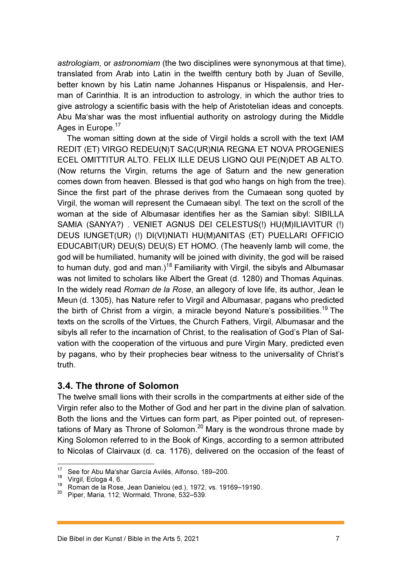astrologiam, or astronomiam (the two disciplines were synonymous at that time), translated from Arab into Latin in the twelfth century both by Juan of Seville, better known by his Latin name Johannes Hispanus or Hispalensis, and Herman of Carinthia. It is an introduction to astrology, in which the author tries to give astrology a scientific basis with the help of Aristotelian ideas and concepts. Abu Ma'shar was the most influential authority on astrology during the Middle Ages in Europe.<sup>17</sup>

The woman sitting down at the side of Virgil holds a scroll with the text IAM REDIT (ET) VIRGO REDEU(N)T SAC(UR)NIA REGNA ET NOVA PROGENIES ECEL OMITTITUR ALTO. FELIX ILLE DEUS LIGNO QUI PE(N)DET AB ALTO. (Now returns the Virgin, returns the age of Saturn and the new generation comes down from heaven. Blessed is that god who hangs on high from the tree). Since the first part of the phrase derives from the Cumaean song quoted by Virgil, the woman will represent the Cumaean sibyl. The text on the scroll of the woman at the side of Albumasar identifies her as the Samian sibyl: SIBILLA SAMIA (SANYA?) . VENIET AGNUS DEI CELESTUS(!) HU(M)ILIAVITUR (!) DEUS IUNGET(UR) (!) DI(VI)NIATI HU(M)ANITAS (ET) PUELLARI OFFICIO EDUCABIT(UR) DEU(S) DEU(S) ET HOMO. (The heavenly lamb will come, the god will be humiliated, humanity will be joined with divinity, the god will be raised to human duty, god and man.)<sup>18</sup> Familiarity with Virgil, the sibyls and Albumasar was not limited to scholars like Albert the Great (d. 1280) and Thomas Aquinas. In the widely read Roman de la Rose, an allegory of love life, its author, Jean le Meun (d. 1305), has Nature refer to Virgil and Albumasar, pagans who predicted the birth of Christ from a virgin, a miracle beyond Nature's possibilities.<sup>19</sup> The texts on the scrolls of the Virtues, the Church Fathers, Virgil, Albumasar and the sibyls all refer to the incarnation of Christ, to the realisation of God's Plan of Salvation with the cooperation of the virtuous and pure Virgin Mary, predicted even by pagans, who by their prophecies bear witness to the universality of Christ's truth.

#### 3.4. The throne of Solomon

The twelve small lions with their scrolls in the compartments at either side of the Virgin refer also to the Mother of God and her part in the divine plan of salvation. Both the lions and the Virtues can form part, as Piper pointed out, of representations of Mary as Throne of Solomon.<sup>20</sup> Mary is the wondrous throne made by King Solomon referred to in the Book of Kings, according to a sermon attributed to Nicolas of Clairvaux (d. ca. 1176), delivered on the occasion of the feast of

 $17$ See for Abu Ma'shar García Avilés, Alfonso, 189-200.

 $18$  Virgil, Ecloga 4, 6.

<sup>19</sup> Roman de la Rose, Jean Danielou (ed.), 1972, vs. 19169–19190.

Piper, Maria, 112; Wormald, Throne, 532–539.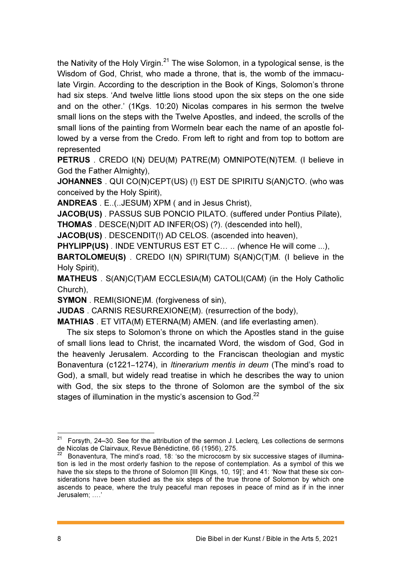the Nativity of the Holy Virgin.<sup>21</sup> The wise Solomon, in a typological sense, is the Wisdom of God, Christ, who made a throne, that is, the womb of the immaculate Virgin. According to the description in the Book of Kings, Solomon's throne had six steps. 'And twelve little lions stood upon the six steps on the one side and on the other.' (1Kgs. 10:20) Nicolas compares in his sermon the twelve small lions on the steps with the Twelve Apostles, and indeed, the scrolls of the small lions of the painting from Wormeln bear each the name of an apostle followed by a verse from the Credo. From left to right and from top to bottom are represented

PETRUS . CREDO I(N) DEU(M) PATRE(M) OMNIPOTE(N)TEM. (I believe in God the Father Almighty),

JOHANNES . QUI CO(N)CEPT(US) (!) EST DE SPIRITU S(AN)CTO. (who was conceived by the Holy Spirit),

ANDREAS . E..(..JESUM) XPM ( and in Jesus Christ),

JACOB(US) . PASSUS SUB PONCIO PILATO. (suffered under Pontius Pilate),

THOMAS . DESCE(N)DIT AD INFER(OS) (?). (descended into hell),

JACOB(US) . DESCENDIT(!) AD CELOS. (ascended into heaven),

PHYLIPP(US). INDE VENTURUS EST ET C... .. (whence He will come ...),

BARTOLOMEU(S) . CREDO I(N) SPIRI(TUM) S(AN)C(T)M. (I believe in the Holy Spirit),

MATHEUS . S(AN)C(T)AM ECCLESIA(M) CATOLI(CAM) (in the Holy Catholic Church),

SYMON . REMI(SIONE)M. (forgiveness of sin),

JUDAS . CARNIS RESURREXIONE(M). (resurrection of the body),

MATHIAS . ET VITA(M) ETERNA(M) AMEN. (and life everlasting amen).

The six steps to Solomon's throne on which the Apostles stand in the guise of small lions lead to Christ, the incarnated Word, the wisdom of God, God in the heavenly Jerusalem. According to the Franciscan theologian and mystic Bonaventura (c1221–1274), in Itinerarium mentis in deum (The mind's road to God), a small, but widely read treatise in which he describes the way to union with God, the six steps to the throne of Solomon are the symbol of the six stages of illumination in the mystic's ascension to God. $^{22}$ 

 $\overline{a}$ 

 $21$  Forsyth, 24–30. See for the attribution of the sermon J. Leclerq, Les collections de sermons de Nicolas de Clairvaux, Revue Bénédictine, 66 (1956), 275.

 $22$  Bonaventura, The mind's road, 18: 'so the microcosm by six successive stages of illumination is led in the most orderly fashion to the repose of contemplation. As a symbol of this we have the six steps to the throne of Solomon [III Kings, 10, 19]'; and 41: 'Now that these six considerations have been studied as the six steps of the true throne of Solomon by which one ascends to peace, where the truly peaceful man reposes in peace of mind as if in the inner Jerusalem; ….'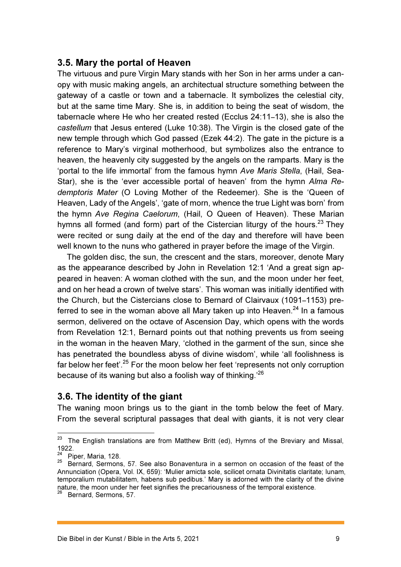#### 3.5. Mary the portal of Heaven

The virtuous and pure Virgin Mary stands with her Son in her arms under a canopy with music making angels, an architectual structure something between the gateway of a castle or town and a tabernacle. It symbolizes the celestial city, but at the same time Mary. She is, in addition to being the seat of wisdom, the tabernacle where He who her created rested (Ecclus 24:11–13), she is also the castellum that Jesus entered (Luke 10:38). The Virgin is the closed gate of the new temple through which God passed (Ezek 44:2). The gate in the picture is a reference to Mary's virginal motherhood, but symbolizes also the entrance to heaven, the heavenly city suggested by the angels on the ramparts. Mary is the 'portal to the life immortal' from the famous hymn Ave Maris Stella, (Hail, Sea-Star), she is the 'ever accessible portal of heaven' from the hymn Alma Redemptoris Mater (O Loving Mother of the Redeemer). She is the 'Queen of Heaven, Lady of the Angels', 'gate of morn, whence the true Light was born' from the hymn Ave Regina Caelorum, (Hail, O Queen of Heaven). These Marian hymns all formed (and form) part of the Cistercian liturgy of the hours.<sup>23</sup> They were recited or sung daily at the end of the day and therefore will have been well known to the nuns who gathered in prayer before the image of the Virgin.

The golden disc, the sun, the crescent and the stars, moreover, denote Mary as the appearance described by John in Revelation 12:1 'And a great sign appeared in heaven: A woman clothed with the sun, and the moon under her feet, and on her head a crown of twelve stars'. This woman was initially identified with the Church, but the Cistercians close to Bernard of Clairvaux (1091–1153) preferred to see in the woman above all Mary taken up into Heaven. $^{24}$  In a famous sermon, delivered on the octave of Ascension Day, which opens with the words from Revelation 12:1, Bernard points out that nothing prevents us from seeing in the woman in the heaven Mary, 'clothed in the garment of the sun, since she has penetrated the boundless abyss of divine wisdom', while 'all foolishness is far below her feet'.<sup>25</sup> For the moon below her feet 'represents not only corruption because of its waning but also a foolish way of thinking.<sup>26</sup>

#### 3.6. The identity of the giant

The waning moon brings us to the giant in the tomb below the feet of Mary. From the several scriptural passages that deal with giants, it is not very clear

 $\overline{a}$ 

 $23$  The English translations are from Matthew Britt (ed), Hymns of the Breviary and Missal, 1922.

<sup>&</sup>lt;sup>24</sup> Piper, Maria, 128.

<sup>&</sup>lt;sup>25</sup> Bernard, Sermons, 57. See also Bonaventura in a sermon on occasion of the feast of the Annunciation (Opera, Vol. IX, 659): 'Mulier amicta sole, scilicet ornata Divinitatis claritate; lunam, temporalium mutabilitatem, habens sub pedibus.' Mary is adorned with the clarity of the divine nature, the moon under her feet signifies the precariousness of the temporal existence.

Bernard, Sermons, 57.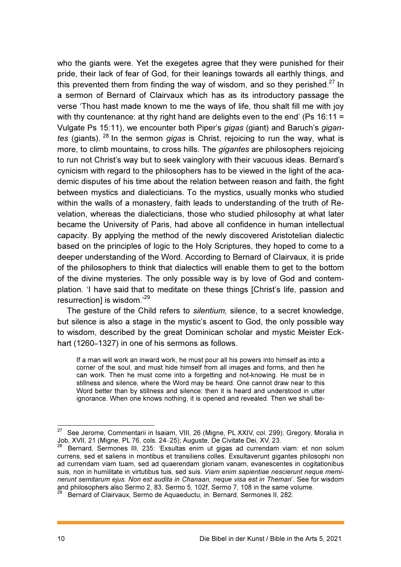who the giants were. Yet the exegetes agree that they were punished for their pride, their lack of fear of God, for their leanings towards all earthly things, and this prevented them from finding the way of wisdom, and so they perished.<sup>27</sup> In a sermon of Bernard of Clairvaux which has as its introductory passage the verse 'Thou hast made known to me the ways of life, thou shalt fill me with joy with thy countenance: at thy right hand are delights even to the end' (Ps  $16:11 =$ Vulgate Ps 15:11), we encounter both Piper's gigas (giant) and Baruch's gigantes (giants).  $^{28}$  In the sermon *gigas* is Christ, rejoicing to run the way, what is more, to climb mountains, to cross hills. The *gigantes* are philosophers rejoicing to run not Christ's way but to seek vainglory with their vacuous ideas. Bernard's cynicism with regard to the philosophers has to be viewed in the light of the academic disputes of his time about the relation between reason and faith, the fight between mystics and dialecticians. To the mystics, usually monks who studied within the walls of a monastery, faith leads to understanding of the truth of Revelation, whereas the dialecticians, those who studied philosophy at what later became the University of Paris, had above all confidence in human intellectual capacity. By applying the method of the newly discovered Aristotelian dialectic based on the principles of logic to the Holy Scriptures, they hoped to come to a deeper understanding of the Word. According to Bernard of Clairvaux, it is pride of the philosophers to think that dialectics will enable them to get to the bottom of the divine mysteries. The only possible way is by love of God and contemplation. 'I have said that to meditate on these things [Christ's life, passion and resurrection] is wisdom.'<sup>29</sup>

The gesture of the Child refers to *silentium*, silence, to a secret knowledge, but silence is also a stage in the mystic's ascent to God, the only possible way to wisdom, described by the great Dominican scholar and mystic Meister Eckhart (1260–1327) in one of his sermons as follows.

If a man will work an inward work, he must pour all his powers into himself as into a corner of the soul, and must hide himself from all images and forms, and then he can work. Then he must come into a forgetting and not-knowing. He must be in stillness and silence, where the Word may be heard. One cannot draw near to this Word better than by stillness and silence: then it is heard and understood in utter ignorance. When one knows nothing, it is opened and revealed. Then we shall be-

 27 See Jerome, Commentarii in Isaiam, VIII, 26 (Migne, PL XXIV, col. 299); Gregory, Moralia in Job, XVII, 21 (Migne, PL 76, cols. 24–25); Auguste, De Civitate Dei, XV, 23.

<sup>28</sup> Bernard, Sermones III, 235: 'Exsultas enim ut gigas ad currendam viam: et non solum currens, sed et saliens in montibus et transiliens colles. Exsultaverunt gigantes philosophi non ad currendam viam tuam, sed ad quaerendam gloriam vanam, evanescentes in cogitationibus suis, non in humilitate in virtutibus tuis, sed suis. Viam enim sapientiae nescierunt neque meminerunt semitarum ejus. Non est audita in Chanaan, neque visa est in Theman'. See for wisdom and philosophers also Sermo 2, 83, Sermo 5, 102f, Sermo 7, 108 in the same volume.

<sup>29</sup> Bernard of Clairvaux, Sermo de Aquaeductu, in: Bernard, Sermones II, 282.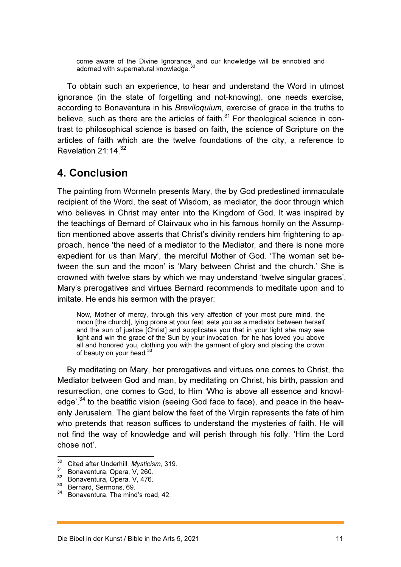come aware of the Divine Ignorance, and our knowledge will be ennobled and adorned with supernatural knowledge.

To obtain such an experience, to hear and understand the Word in utmost ignorance (in the state of forgetting and not-knowing), one needs exercise, according to Bonaventura in his Breviloquium, exercise of grace in the truths to believe, such as there are the articles of faith. $31$  For theological science in contrast to philosophical science is based on faith, the science of Scripture on the articles of faith which are the twelve foundations of the city, a reference to Revelation  $21:14.^{32}$ 

### 4. Conclusion

The painting from Wormeln presents Mary, the by God predestined immaculate recipient of the Word, the seat of Wisdom, as mediator, the door through which who believes in Christ may enter into the Kingdom of God. It was inspired by the teachings of Bernard of Clairvaux who in his famous homily on the Assumption mentioned above asserts that Christ's divinity renders him frightening to approach, hence 'the need of a mediator to the Mediator, and there is none more expedient for us than Mary', the merciful Mother of God. 'The woman set between the sun and the moon' is 'Mary between Christ and the church.' She is crowned with twelve stars by which we may understand 'twelve singular graces', Mary's prerogatives and virtues Bernard recommends to meditate upon and to imitate. He ends his sermon with the prayer:

Now, Mother of mercy, through this very affection of your most pure mind, the moon [the church], lying prone at your feet, sets you as a mediator between herself and the sun of justice [Christ] and supplicates you that in your light she may see light and win the grace of the Sun by your invocation, for he has loved you above all and honored you, clothing you with the garment of glory and placing the crown of beauty on your head. $3$ 

By meditating on Mary, her prerogatives and virtues one comes to Christ, the Mediator between God and man, by meditating on Christ, his birth, passion and resurrection, one comes to God, to Him 'Who is above all essence and knowledge',  $34$  to the beatific vision (seeing God face to face), and peace in the heavenly Jerusalem. The giant below the feet of the Virgin represents the fate of him who pretends that reason suffices to understand the mysteries of faith. He will not find the way of knowledge and will perish through his folly. 'Him the Lord chose not'.

 $\overline{a}$ 

<sup>&</sup>lt;sup>30</sup> Cited after Underhill, Mysticism, 319.

<sup>31</sup> Bonaventura, Opera, V, 260.

<sup>32</sup> Bonaventura, Opera, V, 476.

<sup>33</sup> Bernard, Sermons, 69.

<sup>34</sup> Bonaventura, The mind's road, 42.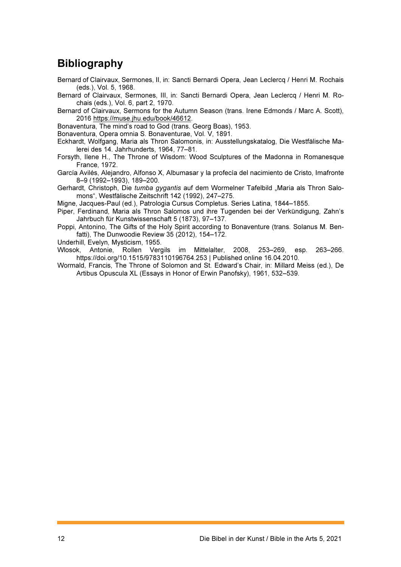## **Bibliography**

- Bernard of Clairvaux, Sermones, II, in: Sancti Bernardi Opera, Jean Leclercq / Henri M. Rochais (eds.), Vol. 5, 1968.
- Bernard of Clairvaux, Sermones, III, in: Sancti Bernardi Opera, Jean Leclercq / Henri M. Rochais (eds.), Vol. 6, part 2, 1970.
- Bernard of Clairvaux, Sermons for the Autumn Season (trans. Irene Edmonds / Marc A. Scott), 2016 https://muse.jhu.edu/book/46612.
- Bonaventura, The mind's road to God (trans. Georg Boas), 1953.
- Bonaventura, Opera omnia S. Bonaventurae, Vol. V, 1891.
- Eckhardt, Wolfgang, Maria als Thron Salomonis, in: Ausstellungskatalog, Die Westfälische Malerei des 14. Jahrhunderts, 1964, 77–81.
- Forsyth, Ilene H., The Throne of Wisdom: Wood Sculptures of the Madonna in Romanesque France, 1972.
- García Avilés, Alejandro, Alfonso X, Albumasar y la profecía del nacimiento de Cristo, Imafronte 8–9 (1992–1993), 189–200.
- Gerhardt, Christoph, Die tumba gygantis auf dem Wormelner Tafelbild "Maria als Thron Salomons", Westfälische Zeitschrift 142 (1992), 247–275.
- Migne, Jacques-Paul (ed.), Patrologia Cursus Completus. Series Latina, 1844–1855.
- Piper, Ferdinand, Maria als Thron Salomos und ihre Tugenden bei der Verkündigung, Zahn's Jahrbuch für Kunstwissenschaft 5 (1873), 97–137.
- Poppi, Antonino, The Gifts of the Holy Spirit according to Bonaventure (trans. Solanus M. Benfatti), The Dunwoodie Review 35 (2012), 154–172.
- Underhill, Evelyn, Mysticism, 1955.
- Wlosok, Antonie, Rollen Vergils im Mittelalter, 2008, 253–269, esp. 263–266. https://doi.org/10.1515/9783110196764.253 | Published online 16.04.2010.
- Wormald, Francis, The Throne of Solomon and St. Edward's Chair, in: Millard Meiss (ed.), De Artibus Opuscula XL (Essays in Honor of Erwin Panofsky), 1961, 532–539.